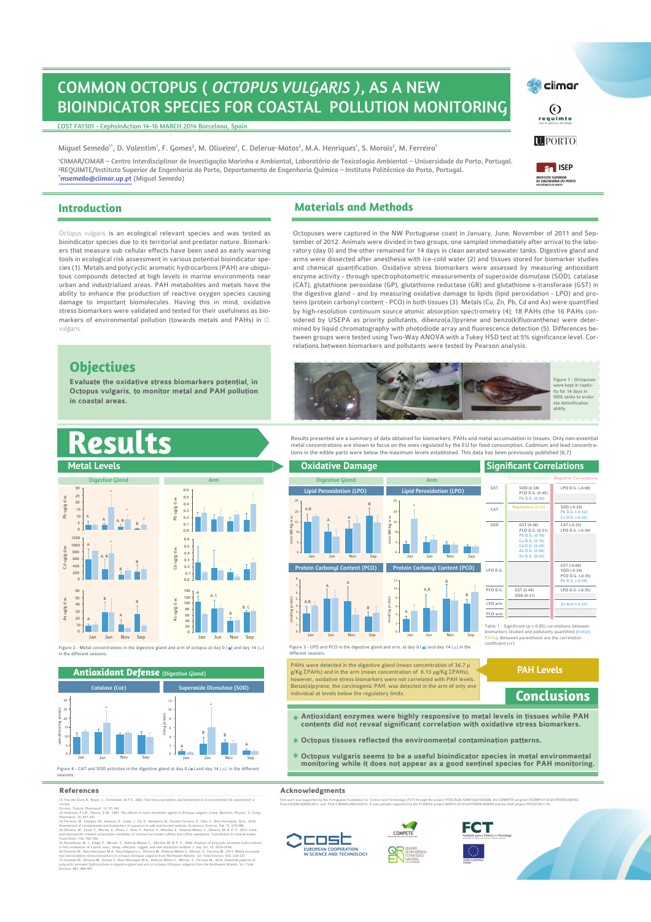# COMMON OCTOPUS ( *OCTOPUS VULGARIS )*, AS A NEW BIOINDICATOR SPECIES FOR COASTAL POLLUTION MONITORING

COST FA1301 - CephsInAction 14-16 MARCH 2014 Barcelona, Spain

Miguel Semedo<sup>1</sup>', D. Valentim', F. Gomes<sup>2</sup>, M. Oliveira<sup>2</sup>, C. Delerue-Matos<sup>2</sup>, M.A. Henriques', S. Morais<sup>2</sup>, M. Ferreira<sup>1</sup> <sup>1</sup>CIIMAR/CIMAR – Centro Interdisciplinar de Investigação Marinha e Ambiental, Laboratório de Toxicologia Ambiental – Universidade do Porto, Portugal. <sup>2</sup>REQUIMTE/Instituto Superior de Engenharia do Porto, Departamento de Engenharia Química – Instituto Politécnico do Porto, Portugal.

\*msemedo@ciimar.up.pt (Miguel Semedo)

#### **Introduction Materials and Methods**

us vulgaris i<mark>s an ecological relevant species and was tested as</mark> bioindicator species due to its territorial and predator nature. Biomarkers that measure sub cellular effects have been used as early warning tools in ecological risk assessment in various potential bioindicator species (1). Metals and polycyclic aromatic hydrocarbons (PAH) are ubiquitous compounds detected at high levels in marine environments near urban and industrialized areas. PAH metabolites and metals have the ability to enhance the production of reactive oxygen species causing damage to important biomolecules. Having this in mind, oxidative stress biomarkers were validated and tested for their usefulness as biomarkers of environmental pollution (towards metals and PAHs) in O. vulgaris.

## **Objectives**

**Evaluate the oxidative stress biomarkers potential, in Octopus vulgaris, to monitor metal and PAH pollution in coastal areas.** 

Octopuses were captured in the NW Portuguese coast in January, June, November of 2011 and September of 2012. Animals were divided in two groups, one sampled immediately after arrival to the laboratory (day 0) and the other remained for 14 days in clean aerated seawater tanks. Digestive gland and arms were dissected after anesthesia with ice-cold water (2) and tissues stored for biomarker studies and chemical quantification. Oxidative stress biomarkers were assessed by measuring antioxidant enzyme activity - through spectrophotometric measurements of superoxide dismutase (SOD), catalase (CAT), glutathione peroxidase (GP), glutathione reductase (GR) and glutathione s-transferase (GST) in the digestive gland - and by measuring oxidative damage to lipids (lipid peroxidation - LPO) and proteins (protein carbonyl content - PCO) in both tissues (3). Metals (Cu, Zn, Pb, Cd and As) were quantified by high-resolution continuum source atomic absorption spectrometry (4); 18 PAHs (the 16 PAHs considered by USEPA as priority pollutants, dibenzo(a,l)pyrene and benzo(k)fluoranthene) were determined by liquid chromatography with photodiode array and fluorescence detection (5). Differences between groups were tested using Two-Way ANOVA with a Tukey HSD test at 5% significance level. Correlations between biomarkers and pollutants were tested by Pearson analysis.



Results presented are a summary of data obtained for biomarkers, PAHs and metal accumulation in tissues. Only non-essential metal concentrations are shown to focus on the ones regulated by the EU for food consumption. Cadmium and lead concentra-<br>tions in the edible parts were below the maximum levels established. This data has been previously p

| <b>Metal Levels</b>                                           |                                                                         | <b>Oxidative Damage</b>                                               |                                                                       |                                                                                                                                                                                              | <b>Significant Correlations</b>                                                                                                                            |
|---------------------------------------------------------------|-------------------------------------------------------------------------|-----------------------------------------------------------------------|-----------------------------------------------------------------------|----------------------------------------------------------------------------------------------------------------------------------------------------------------------------------------------|------------------------------------------------------------------------------------------------------------------------------------------------------------|
| <b>Digestive Gland</b>                                        | Arm                                                                     | <b>Digestive Gland</b>                                                | <b>Arm</b>                                                            |                                                                                                                                                                                              | <b>Positive Correlations Negative Correlations</b>                                                                                                         |
| 30<br>25                                                      | 0.6<br>0.5                                                              | <b>Lipid Peroxidation (LPO)</b><br>25.                                | <b>Lipid Peroxidation (LPO)</b><br>25                                 | GST                                                                                                                                                                                          | SOD (0.38)<br>LPO D.G. (-0.68)<br>PCO D.G. (0.45)<br>Pb D.G. (0.30)                                                                                        |
| 20<br>15<br>$10 -$<br>A, B                                    | Pb ug/g d.w.<br>0.4<br>63                                               | B<br>A.B<br>20                                                        | 20                                                                    | CAT                                                                                                                                                                                          | Naphtalene (0.31)<br>SOD (-0.33)<br>Pb D.G. (-0.32)<br>Cu D.G. (-0.32)                                                                                     |
| 5<br>B<br>1200<br>1000<br>800<br>A, B<br>600                  | 0.1<br>0 <sub>0</sub><br>0.6<br>0.5<br>Cd ug/g d.w.<br>0.4              | mol MDA/g w.w.<br>$\frac{1}{10}$<br>$10-$<br>Sep<br>Jan<br>Jun<br>Nov | nmol MDA/g w.w<br>10 <sub>1</sub><br>-5.5<br>Jan<br>Jun<br>Sep<br>Nov | SOD                                                                                                                                                                                          | GST (0.38)<br>CAT (-0.33)<br>PCO D.G. (0.31)<br>LPO D.G. (-0.39)<br>Pb D.G. (0.78)<br>Cu D.G. (0.76)<br>Cd D.G. (0.29)<br>As D.G. (0.46)<br>Zn D.G. (0.53) |
| 400<br>200                                                    | 0.3<br>0.2<br>0.1<br>0 <sub>0</sub>                                     | Protein Carbonyl Content (PCO)                                        | Protein Carbonyl Content (PCO)<br>12 <sub>1</sub>                     | LPO D.G.                                                                                                                                                                                     | GST (-0.68)<br>SOD (-0.39)<br>PCO D.G. (-0.35)<br>Pb D.G. (-0.36)                                                                                          |
| 60<br>50                                                      | 140.<br>120                                                             |                                                                       | 10 <sub>10</sub><br>A, B<br>B                                         | PCO D.G.                                                                                                                                                                                     | GST (0.45)<br>LPO D.G. (-0.35)<br>SOD (0.31)                                                                                                               |
| 40<br>30<br>20<br>10 <sup>°</sup><br>Nov<br>Jan<br>Sep<br>Jun | As ug/g d.w.<br>100<br>80<br>60<br>40<br>20<br>Nov<br>Sep<br>Jan<br>Jun | nol/mg protein<br>$\frac{1}{2}$ a a u<br>A, B                         | ote<br>ă<br>anyon                                                     | LPO arm<br>PCO arm                                                                                                                                                                           | Zn Arm (-0.33)                                                                                                                                             |
|                                                               |                                                                         | Sep<br>Nov<br>Jan<br>Jun                                              | Nov<br>Jun<br>Sep<br>Jan                                              | Table 1 - Significant ( $p < 0.05$ ) correlations between<br>biomarkers studied and pollutants quantified (metals,<br>PAHs). Between parenthesis are the correlation<br>$coefficient (=r)$ . |                                                                                                                                                            |

Figure 3 - LPO and PCO in the digestive gland and arm, at day 0 (■) and day 14 (■) in the<br>different seasons.

PAHs were detected in the digestive gland (mean concentration of 36.7 µ<br>g/Kg ΣPAHs) and in the arm (mean concentration of 6.13 µg/Kg ΣPAHs),<br>however, oxidative stress biomarkers were not correlated with PAH levels.<br>Benzo(a individual at levels below the regulatory limits.

- **Antioxidant enzymes were highly responsive to metal levels in tissues while PAH contents did not reveal significant correlation with oxidative stress biomarkers.**
- **Octopus tissues reflected the environmental contamination patterns.**
- **Octopus vulgaris seems to be a useful bioindicator species in metal environmental monitoring while it does not appear as a good sentinel species for PAH monitoring.**

#### **References Acknowledgments Acknowledgments**

seasons.

unmol/min/mg protein

As ug/g d.w.

Cd ug/g d.w.

Pb ug/g d.w.

der Oost, R., Beyer, J., review.

Jan Jun Nov Sep

Catalase (Cat)

Environ. Toxicol. Pharmacol. 13, 57-149.<br>(2) Andrews, P.L.R., Tansey, E.M., 1981. The effects of some anesthetic agents in Octopus vulgaris. Comp. Biochem. Physiol., C: Comp. Pharmacol. 70, 241-25.<br>Photoshop. erres, P., Costa, J., Gil, O., B., P., P., P., Costa, J., Gil, O., Reis-Assessment of contaminants and biomarkers of exposure in wild and farmed seabass. Ecotoxicol. Environ. Saf. 73, 579-588 .

Figure 4 - CAT and SOD activities in the digestive gland at day 0  $($  $\blacksquare$ ) and dav 14  $($  $\blacksquare$ ) in the different

> Jan A

Figure 2 - Metal concentrations in the digestive gland and arm of octopus at day 0 ( **m**) and day 14 ( **m**)<br>in the different seasons.

**Antioxidant Defense** (Digestive Gland)

Superoxide Dismutase (SOD)

\*

Jun

B

Sep A

Nov

B

(4) Oliveira, M., Cassi S., Morais, S., Alves, C., Dias, F., Ramos, S., Mentee, E., Delence Matos, C., Oliveira, M. B. P. P., 2012. Intra-<br>and interspective mixed comparison variability of commercial instant coffees and co Environ. 481, 488-497.







**Conclusions** 

**PAH Levels** 







**Experience** 



**U.** PORTO

Figure 1 - Oct